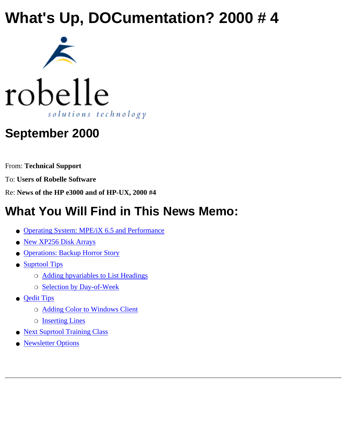## **What's Up, DOCumentation? 2000 # 4**





## **September 2000**

From: **Technical Support**

To: **Users of Robelle Software**

Re: **News of the HP e3000 and of HP-UX, 2000 #4**

## **What You Will Find in This News Memo:**

- [Operating System: MPE/iX 6.5 and Performance](#page-1-0)
- [New XP256 Disk Arrays](#page-2-0)
- [Operations: Backup Horror Story](#page-2-1)
- [Suprtool Tips](#page-2-2)
	- ❍ [Adding hpvariables to List Headings](#page-2-2)
	- ❍ [Selection by Day-of-Week](#page-3-0)
- **[Qedit Tips](#page-4-0)** 
	- ❍ [Adding Color to Windows Client](#page-4-0)
	- ❍ [Inserting Lines](#page-5-0)
- [Next Suprtool Training Class](#page-6-0)
- [Newsletter Options](#page-6-1)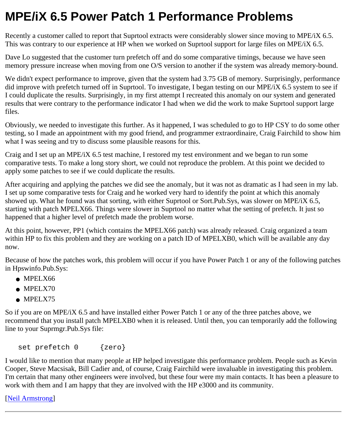### <span id="page-1-0"></span>**MPE/iX 6.5 Power Patch 1 Performance Problems**

Recently a customer called to report that Suprtool extracts were considerably slower since moving to MPE/iX 6.5. This was contrary to our experience at HP when we worked on Suprtool support for large files on MPE/iX 6.5.

Dave Lo suggested that the customer turn prefetch off and do some comparative timings, because we have seen memory pressure increase when moving from one O/S version to another if the system was already memory-bound.

We didn't expect performance to improve, given that the system had 3.75 GB of memory. Surprisingly, performance did improve with prefetch turned off in Suprtool. To investigate, I began testing on our MPE/iX 6.5 system to see if I could duplicate the results. Surprisingly, in my first attempt I recreated this anomaly on our system and generated results that were contrary to the performance indicator I had when we did the work to make Suprtool support large files.

Obviously, we needed to investigate this further. As it happened, I was scheduled to go to HP CSY to do some other testing, so I made an appointment with my good friend, and programmer extraordinaire, Craig Fairchild to show him what I was seeing and try to discuss some plausible reasons for this.

Craig and I set up an MPE/iX 6.5 test machine, I restored my test environment and we began to run some comparative tests. To make a long story short, we could not reproduce the problem. At this point we decided to apply some patches to see if we could duplicate the results.

After acquiring and applying the patches we did see the anomaly, but it was not as dramatic as I had seen in my lab. I set up some comparative tests for Craig and he worked very hard to identify the point at which this anomaly showed up. What he found was that sorting, with either Suprtool or Sort.Pub.Sys, was slower on MPE/iX 6.5, starting with patch MPELX66. Things were slower in Suprtool no matter what the setting of prefetch. It just so happened that a higher level of prefetch made the problem worse.

At this point, however, PP1 (which contains the MPELX66 patch) was already released. Craig organized a team within HP to fix this problem and they are working on a patch ID of MPELXB0, which will be available any day now.

Because of how the patches work, this problem will occur if you have Power Patch 1 or any of the following patches in Hpswinfo.Pub.Sys:

- MPELX66
- $\bullet$  MPELX70
- $\bullet$  MPELX75

So if you are on MPE/iX 6.5 and have installed either Power Patch 1 or any of the three patches above, we recommend that you install patch MPELXB0 when it is released. Until then, you can temporarily add the following line to your Suprmgr.Pub.Sys file:

```
set prefetch 0 {zero}
```
I would like to mention that many people at HP helped investigate this performance problem. People such as Kevin Cooper, Steve Macsisak, Bill Cadier and, of course, Craig Fairchild were invaluable in investigating this problem. I'm certain that many other engineers were involved, but these four were my main contacts. It has been a pleasure to work with them and I am happy that they are involved with the HP e3000 and its community.

[\[Neil Armstrong](http://www.robelle.com/~neil)]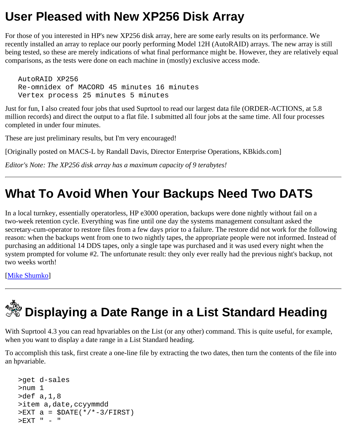#### <span id="page-2-0"></span>**User Pleased with New XP256 Disk Array**

For those of you interested in HP's new XP256 disk array, here are some early results on its performance. We recently installed an array to replace our poorly performing Model 12H (AutoRAID) arrays. The new array is still being tested, so these are merely indications of what final performance might be. However, they are relatively equal comparisons, as the tests were done on each machine in (mostly) exclusive access mode.

 AutoRAID XP256 Re-omnidex of MACORD 45 minutes 16 minutes Vertex process 25 minutes 5 minutes

Just for fun, I also created four jobs that used Suprtool to read our largest data file (ORDER-ACTIONS, at 5.8 million records) and direct the output to a flat file. I submitted all four jobs at the same time. All four processes completed in under four minutes.

These are just preliminary results, but I'm very encouraged!

[Originally posted on MACS-L by Randall Davis, Director Enterprise Operations, KBkids.com]

*Editor's Note: The XP256 disk array has a maximum capacity of 9 terabytes!*

## <span id="page-2-1"></span>**What To Avoid When Your Backups Need Two DATS**

In a local turnkey, essentially operatorless, HP e3000 operation, backups were done nightly without fail on a two-week retention cycle. Everything was fine until one day the systems management consultant asked the secretary-cum-operator to restore files from a few days prior to a failure. The restore did not work for the following reason: when the backups went from one to two nightly tapes, the appropriate people were not informed. Instead of purchasing an additional 14 DDS tapes, only a single tape was purchased and it was used every night when the system prompted for volume #2. The unfortunate result: they only ever really had the previous night's backup, not two weeks worth!

[\[Mike Shumko](http://www.robelle.com/~mike)]

# <span id="page-2-2"></span> **Displaying a Date Range in a List Standard Heading**

With Suprtool 4.3 you can read hpvariables on the List (or any other) command. This is quite useful, for example, when you want to display a date range in a List Standard heading.

To accomplish this task, first create a one-line file by extracting the two dates, then turn the contents of the file into an hpvariable.

```
 >get d-sales
 >num 1
 >def a,1,8
 >item a,date,ccyymmdd
>EXT a = $DATE(*/*-3/FIRST)
 >EXT " - "
```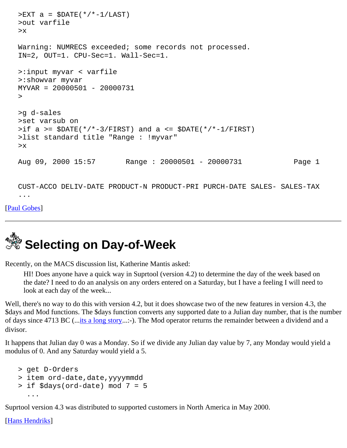```
>EXT a = $DATE(* /*-1/LAST)
 >out varfile
 >x
 Warning: NUMRECS exceeded; some records not processed.
 IN=2, OUT=1. CPU-Sec=1. Wall-Sec=1.
 >:input myvar < varfile
 >:showvar myvar
 MYVAR = 20000501 - 20000731
 >
 >g d-sales
 >set varsub on
>if a >= $DATE(*/*-3/FIRST) and a <= $DATE(*/*-1/FIRST) >list standard title "Range : !myvar"
 >x
 Aug 09, 2000 15:57 Range : 20000501 - 20000731 Page 1
 CUST-ACCO DELIV-DATE PRODUCT-N PRODUCT-PRI PURCH-DATE SALES- SALES-TAX
 ...
```
[\[Paul Gobes](http://www.robelle.com/~paul)]

# <span id="page-3-0"></span>**Selecting on Day-of-Week**

Recently, on the MACS discussion list, Katherine Mantis asked:

HI! Does anyone have a quick way in Suprtool (version 4.2) to determine the day of the week based on the date? I need to do an analysis on any orders entered on a Saturday, but I have a feeling I will need to look at each day of the week...

Well, there's no way to do this with version 4.2, but it does showcase two of the new features in version 4.3, the \$days and Mod functions. The \$days function converts any supported date to a Julian day number, that is the number of days since 4713 BC (...[its a long story.](http://astronomy.physics.tamu.edu/clocks/date.html)..:-). The Mod operator returns the remainder between a dividend and a divisor.

It happens that Julian day 0 was a Monday. So if we divide any Julian day value by 7, any Monday would yield a modulus of 0. And any Saturday would yield a 5.

```
 > get D-Orders
> item ord-date,date, yyyymmdd
 > if $days(ord-date) mod 7 = 5
   ...
```
Suprtool version 4.3 was distributed to supported customers in North America in May 2000.

[\[Hans Hendriks\]](http://www.robelle.com/~hans)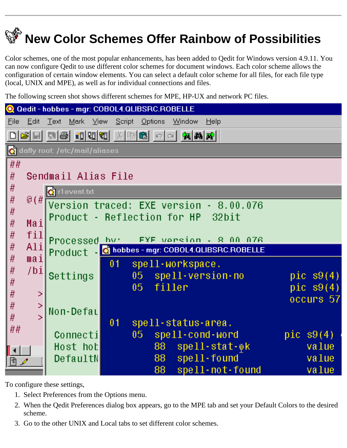## <span id="page-4-0"></span> **New Color Schemes Offer Rainbow of Possibilities**

Color schemes, one of the most popular enhancements, has been added to Qedit for Windows version 4.9.11. You can now configure Qedit to use different color schemes for document windows. Each color scheme allows the configuration of certain window elements. You can select a default color scheme for all files, for each file type (local, UNIX and MPE), as well as for individual connections and files.

The following screen shot shows different schemes for MPE, HP-UX and network PC files.

| Q Qedit - hobbes - mgr: COBOL4.QLIBSRC.ROBELLE     |                                                                                                                                                                                                                                                                                                                                                                                                                          |                                         |                 |                    |                                   |  |             |  |  |
|----------------------------------------------------|--------------------------------------------------------------------------------------------------------------------------------------------------------------------------------------------------------------------------------------------------------------------------------------------------------------------------------------------------------------------------------------------------------------------------|-----------------------------------------|-----------------|--------------------|-----------------------------------|--|-------------|--|--|
| <b>File</b><br>Edit                                | Text Mark<br>⊟ <u>V</u> iew                                                                                                                                                                                                                                                                                                                                                                                              | Script                                  | <u>O</u> ptions | Window             | $He$ lp                           |  |             |  |  |
|                                                    | $\text{Diag}[\mathbf{A} \mathbf{A}]=\text{Diag}[\mathbf{B} \mathbf{B} \mathbf{B} \mathbf{B} \mathbf{B} \mathbf{B} \mathbf{B} \mathbf{B} \mathbf{B} \mathbf{B} \mathbf{B} \mathbf{B} \mathbf{B} \mathbf{B} \mathbf{B} \mathbf{B} \mathbf{B} \mathbf{B} \mathbf{B} \mathbf{B} \mathbf{B} \mathbf{B} \mathbf{B} \mathbf{B} \mathbf{B} \mathbf{B} \mathbf{B} \mathbf{B} \mathbf{B} \mathbf{B} \mathbf{B} \mathbf{B} \mathbf$ |                                         |                 |                    |                                   |  |             |  |  |
| <b>C</b> daffy root: /etc/mail/aliases             |                                                                                                                                                                                                                                                                                                                                                                                                                          |                                         |                 |                    |                                   |  |             |  |  |
| ##                                                 |                                                                                                                                                                                                                                                                                                                                                                                                                          |                                         |                 |                    |                                   |  |             |  |  |
| #                                                  | Sendmail Alias File                                                                                                                                                                                                                                                                                                                                                                                                      |                                         |                 |                    |                                   |  |             |  |  |
| #                                                  | <b>Q</b> r1event.bt                                                                                                                                                                                                                                                                                                                                                                                                      |                                         |                 |                    |                                   |  |             |  |  |
| #<br>@(#<br>Version traced: EXE version - 8.00.076 |                                                                                                                                                                                                                                                                                                                                                                                                                          |                                         |                 |                    |                                   |  |             |  |  |
| #                                                  | Product - Reflection for HP 32bit                                                                                                                                                                                                                                                                                                                                                                                        |                                         |                 |                    |                                   |  |             |  |  |
| #<br>Mai<br>fil<br>#                               |                                                                                                                                                                                                                                                                                                                                                                                                                          |                                         |                 |                    |                                   |  |             |  |  |
| #<br>Ali                                           |                                                                                                                                                                                                                                                                                                                                                                                                                          | FYF version - 8 00 076<br>Processed_hu: |                 |                    |                                   |  |             |  |  |
| #<br>mail                                          | Product - Chobbes-mgr: COBOL4.QLIBSRC.ROBELLE                                                                                                                                                                                                                                                                                                                                                                            |                                         |                 |                    |                                   |  |             |  |  |
| #<br>/bi                                           |                                                                                                                                                                                                                                                                                                                                                                                                                          | 01                                      |                 | spell-workspace.   |                                   |  |             |  |  |
| #                                                  | Settings                                                                                                                                                                                                                                                                                                                                                                                                                 |                                         |                 |                    | 05 spell-version-no               |  | pic $s9(4)$ |  |  |
| #                                                  | >                                                                                                                                                                                                                                                                                                                                                                                                                        |                                         | $05 -$          | filler             |                                   |  | pic $s9(4)$ |  |  |
| #                                                  | ×,                                                                                                                                                                                                                                                                                                                                                                                                                       |                                         |                 |                    |                                   |  | occurs 57   |  |  |
| #                                                  | Non-Defal<br>Ы                                                                                                                                                                                                                                                                                                                                                                                                           |                                         |                 |                    |                                   |  |             |  |  |
| ##                                                 |                                                                                                                                                                                                                                                                                                                                                                                                                          | 01                                      |                 | spell-status-area. |                                   |  |             |  |  |
|                                                    | Connecti                                                                                                                                                                                                                                                                                                                                                                                                                 |                                         | $05 -$          |                    | spell-cond-word                   |  | pic $s9(4)$ |  |  |
| $\blacktriangleleft$                               | Host hot                                                                                                                                                                                                                                                                                                                                                                                                                 |                                         | 88              |                    | $spell\text{-}stat\text{-}\psi k$ |  | value       |  |  |
| 目ノ                                                 | DefaultN                                                                                                                                                                                                                                                                                                                                                                                                                 |                                         | 88 <sup>°</sup> |                    | spell-found                       |  | value       |  |  |
|                                                    |                                                                                                                                                                                                                                                                                                                                                                                                                          |                                         | 88              |                    | spell-not-found                   |  | value       |  |  |

To configure these settings,

- 1. Select Preferences from the Options menu.
- When the Qedit Preferences dialog box appears, go to the MPE tab and set your Default Colors to the desired 2. scheme.
- 3. Go to the other UNIX and Local tabs to set different color schemes.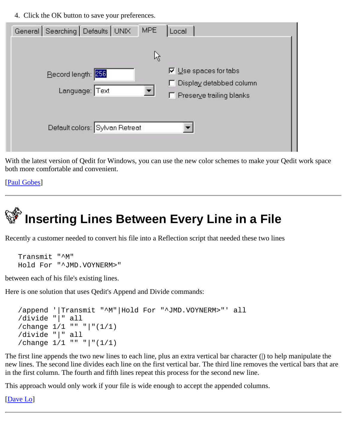4. Click the OK button to save your preferences.

| General Searching Defaults UNIX | <b>MPE</b> | Local                                                   |
|---------------------------------|------------|---------------------------------------------------------|
|                                 | ß          |                                                         |
| Record length: 256              |            | $\nabla$ Use spaces for tabs                            |
| Language: Text                  |            | □ Display detabbed column<br>□ Preserve trailing blanks |
| Default colors: Sylvan Retreat  |            |                                                         |

With the latest version of Qedit for Windows, you can use the new color schemes to make your Qedit work space both more comfortable and convenient.

[\[Paul Gobes](http://www.robelle.com/~paul)]

## <span id="page-5-0"></span> **Inserting Lines Between Every Line in a File**

Recently a customer needed to convert his file into a Reflection script that needed these two lines

```
 Transmit "^M"
 Hold For "^JMD.VOYNERM>"
```
between each of his file's existing lines.

Here is one solution that uses Qedit's Append and Divide commands:

```
 /append '|Transmit "^M"|Hold For "^JMD.VOYNERM>"' all
 /divide "|" all
 /change 1/1 "" "|"(1/1)
 /divide "|" all
 /change 1/1 "" "|"(1/1)
```
The first line appends the two new lines to each line, plus an extra vertical bar character (|) to help manipulate the new lines. The second line divides each line on the first vertical bar. The third line removes the vertical bars that are in the first column. The fourth and fifth lines repeat this process for the second new line.

This approach would only work if your file is wide enough to accept the appended columns.

[\[Dave Lo](http://www.robelle.com/~dlo)]